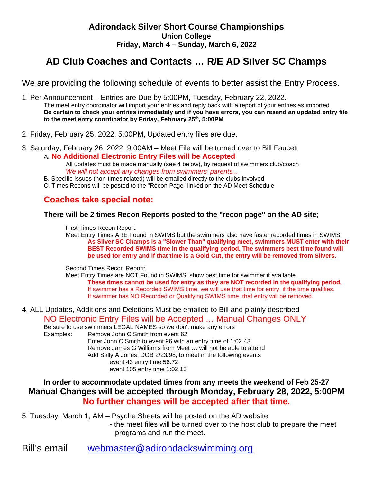## **AD Club Coaches and Contacts … R/E AD Silver SC Champs**

We are providing the following schedule of events to better assist the Entry Process.

1. Per Announcement – Entries are Due by 5:00PM, Tuesday, February 22, 2022. The meet entry coordinator will import your entries and reply back with a report of your entries as imported **Be certain to check your entries immediately and if you have errors, you can resend an updated entry file to the meet entry coordinator by Friday, February 25th, 5:00PM**

- 2. Friday, February 25, 2022, 5:00PM, Updated entry files are due.
- 3. Saturday, February 26, 2022, 9:00AM Meet File will be turned over to Bill Faucett A. **No Additional Electronic Entry Files will be Accepted**

All updates must be made manually (see 4 below), by request of swimmers club/coach *We will not accept any changes from swimmers' parents...* 

- B. Specific Issues (non-times related) will be emailed directly to the clubs involved
- C. Times Recons will be posted to the "Recon Page" linked on the AD Meet Schedule

## **Coaches take special note:**

### **There will be 2 times Recon Reports posted to the "recon page" on the AD site;**

First Times Recon Report:

Meet Entry Times ARE Found in SWIMS but the swimmers also have faster recorded times in SWIMS. **As Silver SC Champs is a "Slower Than" qualifying meet, swimmers MUST enter with their BEST Recorded SWIMS time in the qualifying period. The swimmers best time found will be used for entry and if that time is a Gold Cut, the entry will be removed from Silvers.**

Second Times Recon Report:

Meet Entry Times are NOT Found in SWIMS, show best time for swimmer if available. **These times cannot be used for entry as they are NOT recorded in the qualifying period.** If swimmer has a Recorded SWIMS time, we will use that time for entry, if the time qualifies. If swimmer has NO Recorded or Qualifying SWIMS time, that entry will be removed.

4. ALL Updates, Additions and Deletions Must be emailed to Bill and plainly described

NO Electronic Entry Files will be Accepted … Manual Changes ONLY

Be sure to use swimmers LEGAL NAMES so we don't make any errors

Examples: Remove John C Smith from event 62 Enter John C Smith to event 96 with an entry time of 1:02.43 Remove James G Williams from Meet … will not be able to attend Add Sally A Jones, DOB 2/23/98, to meet in the following events event 43 entry time 56.72 event 105 entry time 1:02.15

## **In order to accommodate updated times from any meets the weekend of Feb 25-27 Manual Changes will be accepted through Monday, February 28, 2022, 5:00PM No further changes will be accepted after that time.**

5. Tuesday, March 1, AM – Psyche Sheets will be posted on the AD website

- the meet files will be turned over to the host club to prepare the meet programs and run the meet.

Bill's email [webmaster@adirondackswimming.org](mailto:webmaster@adirondackswimming.org)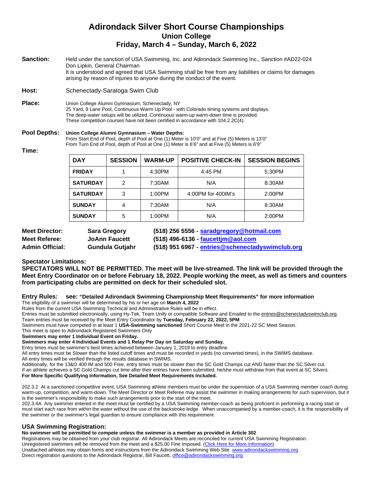| <b>Sanction:</b> | Held under the sanction of USA Swimming, Inc. and Adirondack Swimming Inc., Sanction #AD22-024         |
|------------------|--------------------------------------------------------------------------------------------------------|
|                  | Don Lipkin, General Chairman                                                                           |
|                  | It is understood and agreed that USA Swimming shall be free from any liabilities or claims for damages |
|                  | arising by reason of injuries to anyone during the conduct of the event.                               |

Host: Schenectady-Saratoga Swim Club

#### **Place:** Union College Alumni Gymnasium, Schenectady, NY 25 Yard, 8 Lane Pool, Continuous Warm Up Pool - with Colorado timing systems and displays. The deep-water setups will be utilized. Continuous warm-up warm-down time is provided. These competition courses have not been certified in accordance with 104.2.2C(4).

#### **Pool Depths: Union College Alumni Gymnasium – Water Depths:**

From Start End of Pool, depth of Pool at One (1) Meter is 10'0" and at Five (5) Meters is 13'0" From Turn End of Pool, depth of Pool at One (1) Meter is 6'6" and at Five (5) Meters is 6'9"

**Time:**

| <b>DAY</b>      | <b>SESSION</b> | <b>WARM-UP</b> | <b>POSITIVE CHECK-IN</b> | <b>SESSION BEGINS</b> |
|-----------------|----------------|----------------|--------------------------|-----------------------|
| <b>FRIDAY</b>   |                | 4:30PM         | 4:45 PM                  | 5:30PM                |
| <b>SATURDAY</b> | 2              | 7:30AM         | N/A                      | 8:30AM                |
| <b>SATURDAY</b> | 3              | 1:00PM         | 4:00PM for 400IM's       | 2:00PM                |
| <b>SUNDAY</b>   | 4              | 7:30AM         | N/A                      | 8:30AM                |
| <b>SUNDAY</b>   | 5              | 1:00PM         | N/A                      | 2:00PM                |

| <b>Meet Director:</b>  | <b>Sara Gregory</b>  | (518) 256 5556 - saradgregory@hotmail.com        |
|------------------------|----------------------|--------------------------------------------------|
| Meet Referee:          | <b>JoAnn Faucett</b> | (518) 496-6136 - faucettim@aol.com               |
| <b>Admin Official:</b> | Gundula Gutjahr      | (518) 951 6967 - entries@schenectadyswimclub.org |

#### **Spectator Limitations:**

**SPECTATORS WILL NOT BE PERMITTED. The meet will be live-streamed. The link will be provided through the Meet Entry Coordinator on or before February 18, 2022. People working the meet, as well as timers and counters from participating clubs are permitted on deck for their scheduled slot.**

**Entry Rules: see: "Detailed Adirondack Swimming Championship Meet Requirements" for more information**

The eligibility of a swimmer will be determined by his or her age on **March 4, 2022**

Rules from the current USA Swimming Technical and Administrative Rules will be in effect.

Entries must be submitted electronically, using Hy-Tek, Team Unify or compatible Software and Emailed to the [entries@schenectadyswimclub.org.](mailto:entries@schenectadyswimclub.org) Team entries must be received by the Meet Entry Coordinator by **Tuesday, February 22, 2022, 5PM**

Swimmers must have competed in at least 1 **USA-Swimming sanctioned** Short Course Meet in the 2021-22 SC Meet Season.

This meet is open to Adirondack Registered Swimmers Only

#### **Swimmers may enter 1 Individual Event on Friday.**

**Swimmers may enter 4 Individual Events and 1 Relay Per Day on Saturday and Sunday.**

Entry times must be swimmer's best times achieved between January 1, 2019 to entry deadline.

All entry times must be Slower than the listed cutoff times and must be recorded in yards (no converted times), in the SWIMS database.

All entry times will be verified through the results database in SWIMS.

Additionally, for the 13&O 400 IM and 500 Free, entry times must be slower than the SC Gold Champs cut AND faster than the SC Silver cut.

If an athlete achieves a SC Gold Champs cut time after their entries have been submitted, he/she must withdraw from that event at SC Silvers.

#### **For More Specific Qualifying Information, See Detailed Meet Requirements Included.**

202.3.2 At a sanctioned competitive event, USA Swimming athlete members must be under the supervision of a USA Swimming member coach during warm-up, competition, and warm-down. The Meet Director or Meet Referee may assist the swimmer in making arrangements for such supervision, but it is the swimmer's responsibility to make such arrangements prior to the start of the meet.

202.3.4A Any swimmer entered in the meet must be certified by a USA Swimming member-coach as being proficient in performing a racing start or must start each race from within the water without the use of the backstroke ledge. When unaccompanied by a member-coach, it is the responsibility of the swimmer or the swimmer's legal guardian to ensure compliance with this requirement

#### **USA Swimming Registration:**

**No swimmer will be permitted to compete unless the swimmer is a member as provided in Article 302**

Registrations may be obtained from your club registrar. All Adirondack Meets are reconciled for current USA Swimming Registration. Unregistered swimmers will be removed from the meet and a \$25.00 Fine Imposed. (Click Here for More Information) Unattached athletes may obtain forms and instructions from the Adirondack Swimming Web Site [www.adirondackswimming.org](http://www.adirondackswimming.org/) Direct registration questions to the Adirondack Registrar, Bill Faucett, office@adirondackswimming.org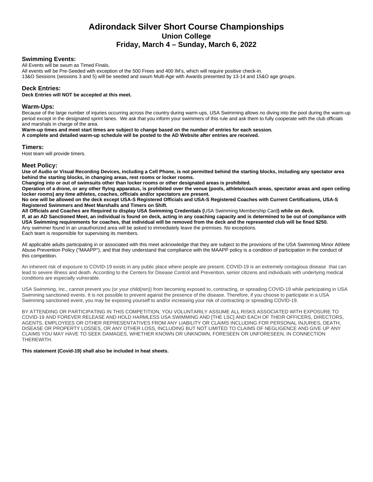#### **Swimming Events:**

All Events will be swum as Timed Finals.

All events will be Pre-Seeded with exception of the 500 Frees and 400 IM's, which will require positive check-in.

13&O Sessions (sessions 3 and 5) will be seeded and swum Multi-Age with Awards presented by 13-14 and 15&O age groups.

#### **Deck Entries:**

**Deck Entries will NOT be accepted at this meet.**

#### **Warm-Ups:**

Because of the large number of injuries occurring across the country during warm-ups, USA Swimming allows no diving into the pool during the warm-up period except in the designated sprint lanes. We ask that you inform your swimmers of this rule and ask them to fully cooperate with the club officials and marshals in charge of the area.

**Warm-up times and meet start times are subject to change based on the number of entries for each session.**

**A complete and detailed warm-up schedule will be posted to the AD Website after entries are received.**

#### **Timers:**

Host team will provide timers.

#### **Meet Policy:**

**Use of Audio or Visual Recording Devices, including a Cell Phone, is not permitted behind the starting blocks, including any spectator area behind the starting blocks, in changing areas, rest rooms or locker rooms.**

**Changing into or out of swimsuits other than locker rooms or other designated areas is prohibited.** 

**Operation of a drone, or any other flying apparatus, is prohibited over the venue (pools, athlete/coach areas, spectator areas and open ceiling locker rooms) any time athletes, coaches, officials and/or spectators are present.**

**No one will be allowed on the deck except USA-S Registered Officials and USA-S Registered Coaches with Current Certifications, USA-S Registered Swimmers and Meet Marshalls and Timers on Shift.**

**All Officials and Coaches are Required to display USA Swimming Credentials (**USA Swimming Membership Card**) while on deck.**

**If, at an AD Sanctioned Meet, an individual is found on deck, acting in any coaching capacity and is determined to be out of compliance with USA Swimming requirements for coaches, that individual will be removed from the deck and the represented club will be fined \$250.**

Any swimmer found in an unauthorized area will be asked to immediately leave the premises. No exceptions.

Each team is responsible for supervising its members.

All applicable adults participating in or associated with this meet acknowledge that they are subject to the provisions of the USA Swimming Minor Athlete Abuse Prevention Policy ("MAAPP"), and that they understand that compliance with the MAAPP policy is a condition of participation in the conduct of this competition.

An inherent risk of exposure to COVID-19 exists in any public place where people are present. COVID-19 is an extremely contagious disease that can lead to severe illness and death. According to the Centers for Disease Control and Prevention, senior citizens and individuals with underlying medical conditions are especially vulnerable.

USA Swimming, Inc., cannot prevent you (or your child(ren)) from becoming exposed to, contracting, or spreading COVID-19 while participating in USA Swimming sanctioned events. It is not possible to prevent against the presence of the disease. Therefore, if you choose to participate in a USA Swimming sanctioned event, you may be exposing yourself to and/or increasing your risk of contracting or spreading COVID-19.

BY ATTENDING OR PARTICIPATING IN THIS COMPETITION, YOU VOLUNTARILY ASSUME ALL RISKS ASSOCIATED WITH EXPOSURE TO COVID-19 AND FOREVER RELEASE AND HOLD HARMLESS USA SWIMMING AND [THE LSC] AND EACH OF THEIR OFFICERS, DIRECTORS, AGENTS, EMPLOYEES OR OTHER REPRESENTATIVES FROM ANY LIABILITY OR CLAIMS INCLUDING FOR PERSONAL INJURIES, DEATH, DISEASE OR PROPERTY LOSSES, OR ANY OTHER LOSS, INCLUDING BUT NOT LIMITED TO CLAIMS OF NEGLIGENCE AND GIVE UP ANY CLAIMS YOU MAY HAVE TO SEEK DAMAGES, WHETHER KNOWN OR UNKNOWN, FORESEEN OR UNFORESEEN, IN CONNECTION THEREWITH.

#### **This statement (Covid-19) shall also be included in heat sheets.**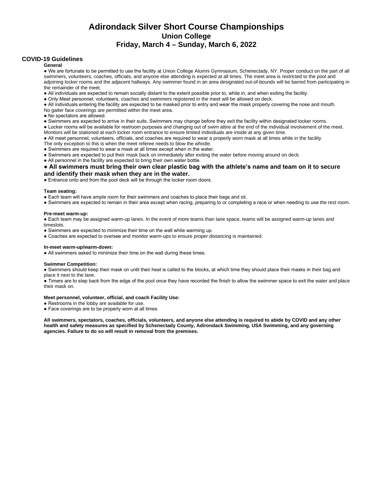#### **COVID-19 Guidelines**

**General**

● We are fortunate to be permitted to use the facility at Union College Alumni Gymnasium, Schenectady, NY. Proper conduct on the part of all swimmers, volunteers, coaches, officials, and anyone else attending is expected at all times. The meet area is restricted to the pool and adjoining locker rooms and the adjacent hallways. Any swimmer found in an area designated out-of-bounds will be barred from participating in the remainder of the meet.

● All individuals are expected to remain socially distant to the extent possible prior to, while in, and when exiting the facility.

● Only Meet personnel, volunteers, coaches and swimmers registered in the meet will be allowed on deck.

● All individuals entering the facility are expected to be masked prior to entry and wear the mask properly covering the nose and mouth.

No gaiter face coverings are permitted within the meet area.

● No spectators are allowed.

● Swimmers are expected to arrive in their suits. Swimmers may change before they exit the facility within designated locker rooms.

● Locker rooms will be available for restroom purposes and changing out of swim attire at the end of the individual involvement of the meet. Monitors will be stationed at each locker room entrance to ensure limited individuals are inside at any given time.

● All meet personnel, volunteers, officials, and coaches are required to wear a properly worn mask at all times while in the facility.

The only exception to this is when the meet referee needs to blow the whistle.

● Swimmers are required to wear a mask at all times except when in the water.

● Swimmers are expected to put their mask back on immediately after exiting the water before moving around on deck.

• All personnel in the facility are expected to bring their own water bottle.

#### **•** All swimmers must bring their own clear plastic bag with the athlete's name and team on it to secure **and identify their mask when they are in the water.**

• Entrance onto and from the pool deck will be through the locker room doors.

#### **Team seating:**

● Each team will have ample room for their swimmers and coaches to place their bags and sit.

● Swimmers are expected to remain in their area except when racing, preparing to or completing a race or when needing to use the rest room.

#### **Pre-meet warm-up:**

● Each team may be assigned warm-up lanes. In the event of more teams than lane space, teams will be assigned warm-up lanes and timeslots.

- Swimmers are expected to minimize their time on the wall while warming up.
- Coaches are expected to oversee and monitor warm-ups to ensure proper distancing is maintained.

#### **In-meet warm-up/warm-down:**

• All swimmers asked to minimize their time on the wall during these times.

#### **Swimmer Competition:**

● Swimmers should keep their mask on until their heat is called to the blocks, at which time they should place their masks in their bag and place it next to the lane.

● Timers are to step back from the edge of the pool once they have recorded the finish to allow the swimmer space to exit the water and place their mask on.

#### **Meet personnel, volunteer, official, and coach Facility Use:**

- Restrooms in the lobby are available for use.
- Face coverings are to be properly worn at all times

**All swimmers, spectators, coaches, officials, volunteers, and anyone else attending is required to abide by COVID and any other health and safety measures as specified by Schenectady County, Adirondack Swimming, USA Swimming, and any governing agencies. Failure to do so will result in removal from the premises.**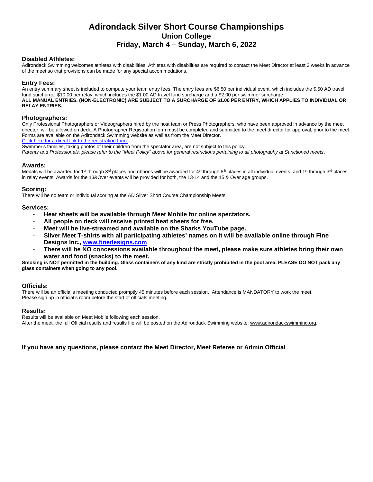#### **Disabled Athletes:**

Adirondack Swimming welcomes athletes with disabilities. Athletes with disabilities are required to contact the Meet Director at least 2 weeks in advance of the meet so that provisions can be made for any special accommodations.

#### **Entry Fees:**

An entry summary sheet is included to compute your team entry fees. The entry fees are \$6.50 per individual event, which includes the \$.50 AD travel fund surcharge, \$10.00 per relay, which includes the \$1.00 AD travel fund surcharge and a \$2.00 per swimmer surcharge **ALL MANUAL ENTRIES, (NON-ELECTRONIC) ARE SUBJECT TO A SURCHARGE OF \$1.00 PER ENTRY, WHICH APPLIES TO INDIVIDUAL OR RELAY ENTRIES.**

#### **Photographers:**

Only Professional Photographers or Videographers hired by the host team or Press Photographers, who have been approved in advance by the meet director, will be allowed on deck. A Photographer Registration form must be completed and submitted to the meet director for approval, prior to the meet. Forms are available on the Adirondack Swimming website as well as from the Meet Director.

[Click here for a direct link to the registration form.](about:blank)

Swimmer's families, taking photos of their children from the spectator area, are not subject to this policy.

*Parents and Professionals, please refer to the "Meet Policy" above for general restrictions pertaining to all photography at Sanctioned meets*.

#### **Awards:**

Medals will be awarded for 1<sup>st</sup> through 3<sup>rd</sup> places and ribbons will be awarded for 4<sup>th</sup> through 8<sup>th</sup> places in all individual events, and 1<sup>st</sup> through 3<sup>rd</sup> places in relay events. Awards for the 13&Over events will be provided for both, the 13-14 and the 15 & Over age groups.

#### **Scoring:**

There will be no team or individual scoring at the AD Silver Short Course Championship Meets.

#### **Services:**

- **Heat sheets will be available through Meet Mobile for online spectators.**
- **All people on deck will receive printed heat sheets for free.**
- **Meet will be live-streamed and available on the Sharks YouTube page.**
- **Silver Meet T-shirts with all participating athletes' names on it will be available online through Fine Designs Inc., [www.finedesigns.com](http://www.finedesigns.com/)**
- There will be NO concessions available throughout the meet, please make sure athletes bring their own **water and food (snacks) to the meet.**

**Smoking is NOT permitted in the building. Glass containers of any kind are strictly prohibited in the pool area. PLEASE DO NOT pack any glass containers when going to any pool.**

#### **Officials:**

There will be an official's meeting conducted promptly 45 minutes before each session. Attendance is MANDATORY to work the meet. Please sign up in official's room before the start of officials meeting.

#### **Results**:

Results will be available on Meet Mobile following each session. After the meet, the full Official results and results file will be posted on the Adirondack Swimming website: [www.adirondackswimming.org.](http://www.adirondackswimming.org/)

#### **If you have any questions, please contact the Meet Director, Meet Referee or Admin Official**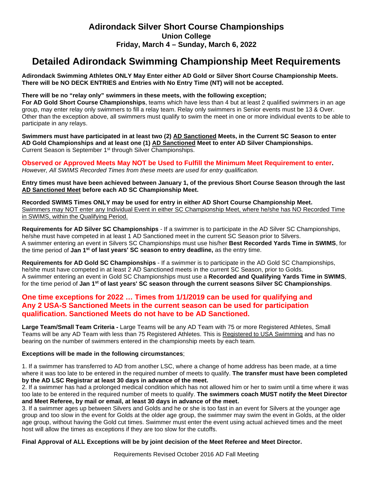## **Detailed Adirondack Swimming Championship Meet Requirements**

**Adirondack Swimming Athletes ONLY May Enter either AD Gold or Silver Short Course Championship Meets. There will be NO DECK ENTRIES and Entries with No Entry Time (NT) will not be accepted.**

#### **There will be no "relay only" swimmers in these meets, with the following exception;**

**For AD Gold Short Course Championships**, teams which have less than 4 but at least 2 qualified swimmers in an age group, may enter relay only swimmers to fill a relay team. Relay only swimmers in Senior events must be 13 & Over. Other than the exception above, all swimmers must qualify to swim the meet in one or more individual events to be able to participate in any relays.

**Swimmers must have participated in at least two (2) AD Sanctioned Meets, in the Current SC Season to enter AD Gold Championships and at least one (1) AD Sanctioned Meet to enter AD Silver Championships.** Current Season is September 1<sup>st</sup> through Silver Championships.

**Observed or Approved Meets May NOT be Used to Fulfill the Minimum Meet Requirement to enter.** *However, All SWIMS Recorded Times from these meets are used for entry qualification.*

**Entry times must have been achieved between January 1, of the previous Short Course Season through the last AD Sanctioned Meet before each AD SC Championship Meet.**

**Recorded SWIMS Times ONLY may be used for entry in either AD Short Course Championship Meet.** Swimmers may NOT enter any Individual Event in either SC Championship Meet, where he/she has NO Recorded Time in SWIMS, within the Qualifying Period.

**Requirements for AD Silver SC Championships** - If a swimmer is to participate in the AD Silver SC Championships, he/she must have competed in at least 1 AD Sanctioned meet in the current SC Season prior to Silvers. A swimmer entering an event in Silvers SC Championships must use his/her **Best Recorded Yards Time in SWIMS**, for the time period of **Jan 1st of last years' SC season to entry deadline,** as the entry time.

**Requirements for AD Gold SC Championships** - If a swimmer is to participate in the AD Gold SC Championships, he/she must have competed in at least 2 AD Sanctioned meets in the current SC Season, prior to Golds. A swimmer entering an event in Gold SC Championships must use a **Recorded and Qualifying Yards Time in SWIMS**, for the time period of **Jan 1st of last years' SC season through the current seasons Silver SC Championships**.

### **One time exceptions for 2022 … Times from 1/1/2019 can be used for qualifying and Any 2 USA-S Sanctioned Meets in the current season can be used for participation qualification. Sanctioned Meets do not have to be AD Sanctioned.**

**Large Team/Small Team Criteria -** Large Teams will be any AD Team with 75 or more Registered Athletes, Small Teams will be any AD Team with less than 75 Registered Athletes. This is Registered to USA Swimming and has no bearing on the number of swimmers entered in the championship meets by each team.

#### **Exceptions will be made in the following circumstances**;

1. If a swimmer has transferred to AD from another LSC, where a change of home address has been made, at a time where it was too late to be entered in the required number of meets to qualify. **The transfer must have been completed by the AD LSC Registrar at least 30 days in advance of the meet.**

2. If a swimmer has had a prolonged medical condition which has not allowed him or her to swim until a time where it was too late to be entered in the required number of meets to qualify. **The swimmers coach MUST notify the Meet Director and Meet Referee, by mail or email, at least 30 days in advance of the meet.**

3. If a swimmer ages up between Silvers and Golds and he or she is too fast in an event for Silvers at the younger age group and too slow in the event for Golds at the older age group, the swimmer may swim the event in Golds, at the older age group, without having the Gold cut times. Swimmer must enter the event using actual achieved times and the meet host will allow the times as exceptions if they are too slow for the cutoffs.

#### **Final Approval of ALL Exceptions will be by joint decision of the Meet Referee and Meet Director.**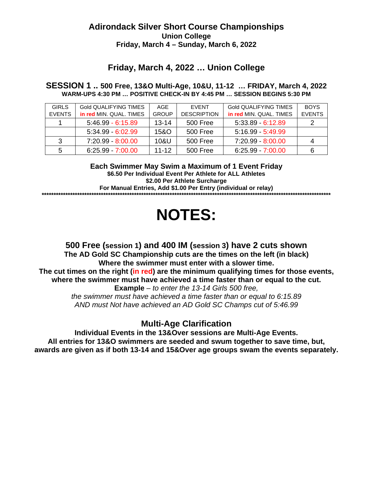## **Friday, March 4, 2022 … Union College**

### **SESSION 1 .. 500 Free, 13&O Multi-Age, 10&U, 11-12 … FRIDAY, March 4, 2022 WARM-UPS 4:30 PM … POSITIVE CHECK-IN BY 4:45 PM … SESSION BEGINS 5:30 PM**

| <b>GIRLS</b>  | Gold QUALIFYING TIMES   | AGE          | <b>FVENT</b>       | <b>Gold QUALIFYING TIMES</b> | <b>BOYS</b>   |
|---------------|-------------------------|--------------|--------------------|------------------------------|---------------|
| <b>EVENTS</b> | in red MIN. QUAL. TIMES | <b>GROUP</b> | <b>DESCRIPTION</b> | in red MIN. QUAL. TIMES      | <b>EVENTS</b> |
|               | $5:46.99 - 6:15.89$     | $13 - 14$    | 500 Free           | $5:33.89 - 6:12.89$          |               |
|               | $5:34.99 - 6:02.99$     | 15&O         | 500 Free           | $5:16.99 - 5:49.99$          |               |
| 3             | 7:20.99 - 8:00.00       | 10&U         | 500 Free           | 7:20.99 - 8:00.00            | 4             |
| 5             | $6:25.99 - 7:00.00$     | $11 - 12$    | 500 Free           | $6:25.99 - 7:00.00$          |               |

**Each Swimmer May Swim a Maximum of 1 Event Friday \$6.50 Per Individual Event Per Athlete for ALL Athletes \$2.00 Per Athlete Surcharge**

**For Manual Entries, Add \$1.00 Per Entry (individual or relay) \*\*\*\*\*\*\*\*\*\*\*\*\*\*\*\*\*\*\*\*\*\*\*\*\*\*\*\*\*\*\*\*\*\*\*\*\*\*\*\*\*\*\*\*\*\*\*\*\*\*\*\*\*\*\*\*\*\*\*\*\*\*\*\*\*\*\*\*\*\*\*\*\*\*\*\*\*\*\*\*\*\*\*\*\*\*\*\*\*\*\*\*\*\*\*\*\*\*\*\*\*\*\*\*\*\*\*\*\*\*\*\*\*\*\*\*\*\*\*\*\*\***

# **NOTES:**

## **500 Free (session 1) and 400 IM (session 3) have 2 cuts shown The AD Gold SC Championship cuts are the times on the left (in black) Where the swimmer must enter with a slower time. The cut times on the right (in red) are the minimum qualifying times for those events, where the swimmer must have achieved a time faster than or equal to the cut. Example** *– to enter the 13-14 Girls 500 free, the swimmer must have achieved a time faster than or equal to 6:15.89 AND must Not have achieved an AD Gold SC Champs cut of 5:46.99*

## **Multi-Age Clarification**

**Individual Events in the 13&Over sessions are Multi-Age Events. All entries for 13&O swimmers are seeded and swum together to save time, but, awards are given as if both 13-14 and 15&Over age groups swam the events separately.**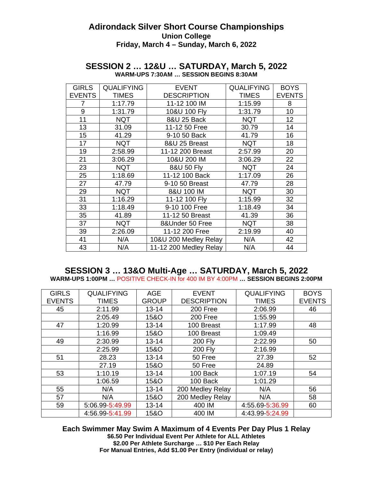| <b>GIRLS</b><br><b>EVENTS</b> | <b>QUALIFYING</b><br><b>TIMES</b> | <b>EVENT</b><br><b>DESCRIPTION</b> | <b>QUALIFYING</b><br><b>TIMES</b> | <b>BOYS</b><br><b>EVENTS</b> |
|-------------------------------|-----------------------------------|------------------------------------|-----------------------------------|------------------------------|
| 7                             | 1:17.79                           | 11-12 100 IM                       | 1:15.99                           | 8                            |
| 9                             | 1:31.79                           | 10&U 100 Fly                       | 1:31.79                           | 10                           |
| 11                            | <b>NQT</b>                        | 8&U 25 Back                        | <b>NQT</b>                        | 12                           |
| 13                            | 31.09                             | 11-12 50 Free                      | 30.79                             | 14                           |
| 15                            | 41.29                             | 9-10 50 Back                       | 41.79                             | 16                           |
| 17                            | <b>NQT</b>                        | 8&U 25 Breast                      | <b>NQT</b>                        | 18                           |
| 19                            | 2:58.99                           | 11-12 200 Breast                   | 2:57.99                           | 20                           |
| 21                            | 3:06.29                           | 10&U 200 IM                        | 3:06.29                           | 22                           |
| 23                            | <b>NQT</b>                        | 8&U 50 Fly                         | <b>NQT</b>                        | 24                           |
| 25                            | 1:18.69                           | 11-12 100 Back                     | 1:17.09                           | 26                           |
| 27                            | 47.79                             | 9-10 50 Breast                     | 47.79                             | 28                           |
| 29                            | <b>NQT</b>                        | 8&U 100 IM                         | <b>NQT</b>                        | 30                           |
| 31                            | 1:16.29                           | 11-12 100 Fly                      | 1:15.99                           | 32                           |
| 33                            | 1:18.49                           | 9-10 100 Free                      | 1:18.49                           | 34                           |
| 35                            | 41.89                             | 11-12 50 Breast                    | 41.39                             | 36                           |
| 37                            | <b>NQT</b>                        | 8&Under 50 Free                    | <b>NQT</b>                        | 38                           |
| 39                            | 2:26.09                           | 11-12 200 Free                     | 2:19.99                           | 40                           |
| 41                            | N/A                               | 10&U 200 Medley Relay              | N/A                               | 42                           |
| 43                            | N/A                               | 11-12 200 Medley Relay             | N/A                               | 44                           |

### **SESSION 2 … 12&U … SATURDAY, March 5, 2022 WARM-UPS 7:30AM … SESSION BEGINS 8:30AM**

### **SESSION 3 … 13&O Multi-Age … SATURDAY, March 5, 2022 WARM-UPS 1:00PM …** POSITIVE CHECK-IN for 400 IM BY 4:00PM **… SESSION BEGINS 2:00PM**

| <b>GIRLS</b>  | <b>QUALIFYING</b> | <b>AGE</b>   | <b>EVENT</b>       | <b>QUALIFYING</b> | <b>BOYS</b>   |
|---------------|-------------------|--------------|--------------------|-------------------|---------------|
| <b>EVENTS</b> | <b>TIMES</b>      | <b>GROUP</b> | <b>DESCRIPTION</b> | <b>TIMES</b>      | <b>EVENTS</b> |
| 45            | 2:11.99           | $13 - 14$    | 200 Free           | 2:06.99           | 46            |
|               | 2:05.49           | 15&O         | 200 Free           | 1:55.99           |               |
| 47            | 1:20.99           | $13 - 14$    | 100 Breast         | 1:17.99           | 48            |
|               | 1:16.99           | 15&O         | 100 Breast         | 1:09.49           |               |
| 49            | 2:30.99           | $13 - 14$    | <b>200 Fly</b>     | 2:22.99           | 50            |
|               | 2:25.99           | 15&O         | <b>200 Fly</b>     | 2:16.99           |               |
| 51            | 28.23             | $13 - 14$    | 50 Free            | 27.39             | 52            |
|               | 27.19             | 15&O         | 50 Free            | 24.89             |               |
| 53            | 1:10.19           | $13 - 14$    | 100 Back           | 1:07.19           | 54            |
|               | 1:06.59           | 15&O         | 100 Back           | 1:01.29           |               |
| 55            | N/A               | $13 - 14$    | 200 Medley Relay   | N/A               | 56            |
| 57            | N/A               | 15&O         | 200 Medley Relay   | N/A               | 58            |
| 59            | 5:06.99-5:49.99   | $13 - 14$    | 400 IM             | 4:55.69-5:36.99   | 60            |
|               | 4:56.99 5:41.99   | 15&O         | 400 IM             | 4:43.99 5:24.99   |               |

**Each Swimmer May Swim A Maximum of 4 Events Per Day Plus 1 Relay \$6.50 Per Individual Event Per Athlete for ALL Athletes \$2.00 Per Athlete Surcharge … \$10 Per Each Relay For Manual Entries, Add \$1.00 Per Entry (individual or relay)**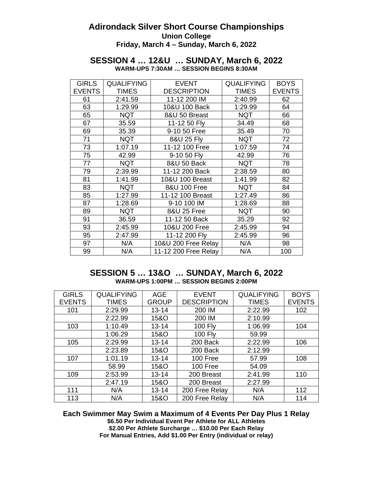### **SESSION 4 … 12&U … SUNDAY, March 6, 2022 WARM-UPS 7:30AM … SESSION BEGINS 8:30AM**

| <b>GIRLS</b>  | <b>QUALIFYING</b> | <b>EVENT</b>         | <b>QUALIFYING</b> | <b>BOYS</b>   |
|---------------|-------------------|----------------------|-------------------|---------------|
| <b>EVENTS</b> | <b>TIMES</b>      | <b>DESCRIPTION</b>   | <b>TIMES</b>      | <b>EVENTS</b> |
| 61            | 2:41.59           | 11-12 200 IM         | 2:40.99           | 62            |
| 63            | 1:29.99           | 10&U 100 Back        | 1:29.99           | 64            |
| 65            | <b>NQT</b>        | 8&U 50 Breast        | <b>NQT</b>        | 66            |
| 67            | 35.59             | 11-12 50 Fly         | 34.49             | 68            |
| 69            | 35.39             | 9-10 50 Free         | 35.49             | 70            |
| 71            | <b>NQT</b>        | 8&U 25 Fly           | <b>NQT</b>        | 72            |
| 73            | 1:07.19           | 11-12 100 Free       | 1:07.59           | 74            |
| 75            | 42.99             | 9-10 50 Fly          | 42.99             | 76            |
| 77            | <b>NQT</b>        | 8&U 50 Back          | <b>NQT</b>        | 78            |
| 79            | 2:39.99           | 11-12 200 Back       | 2:38.59           | 80            |
| 81            | 1:41.99           | 10&U 100 Breast      | 1:41.99           | 82            |
| 83            | <b>NQT</b>        | 8&U 100 Free         | <b>NQT</b>        | 84            |
| 85            | 1:27.99           | 11-12 100 Breast     | 1:27.49           | 86            |
| 87            | 1:28.69           | 9-10 100 IM          | 1:28.69           | 88            |
| 89            | <b>NQT</b>        | 8&U 25 Free          | <b>NQT</b>        | 90            |
| 91            | 36.59             | 11-12 50 Back        | 35.29             | 92            |
| 93            | 2:45.99           | 10&U 200 Free        | 2:45.99           | 94            |
| 95            | 2:47.99           | 11-12 200 Fly        | 2:45.99           | 96            |
| 97            | N/A               | 10&U 200 Free Relay  | N/A               | 98            |
| 99            | N/A               | 11-12 200 Free Relay | N/A               | 100           |

## **SESSION 5 … 13&O … SUNDAY, March 6, 2022 WARM-UPS 1:00PM … SESSION BEGINS 2:00PM**

| <b>GIRLS</b>  | <b>QUALIFYING</b> | <b>AGE</b>      | <b>EVENT</b>       | <b>QUALIFYING</b> | <b>BOYS</b>   |
|---------------|-------------------|-----------------|--------------------|-------------------|---------------|
| <b>EVENTS</b> | <b>TIMES</b>      | <b>GROUP</b>    | <b>DESCRIPTION</b> | <b>TIMES</b>      | <b>EVENTS</b> |
| 101           | 2:29.99           | $13 - 14$       | 200 IM             | 2:22.99           | 102           |
|               | 2:22.99           | 15&O            | 200 IM             | 2:10.99           |               |
| 103           | 1:10.49           | $13 - 14$       | <b>100 Fly</b>     | 1:06.99           | 104           |
|               | 1:06.29           | 15&O            | <b>100 Fly</b>     | 59.99             |               |
| 105           | 2:29.99           | $13 - 14$       | 200 Back           | 2:22.99           | 106           |
|               | 2:23.89           | 15&O            | 200 Back           | 2:12.99           |               |
| 107           | 1:01.19           | $13 - 14$       | 100 Free           | 57.99             | 108           |
|               | 58.99             | <b>15&amp;O</b> | 100 Free           | 54.09             |               |
| 109           | 2:53.99           | $13 - 14$       | 200 Breast         | 2:41.99           | 110           |
|               | 2:47.19           | 15&O            | 200 Breast         | 2:27.99           |               |
| 111           | N/A               | $13 - 14$       | 200 Free Relay     | N/A               | 112           |
| 113           | N/A               | 15&O            | 200 Free Relay     | N/A               | 114           |

**Each Swimmer May Swim a Maximum of 4 Events Per Day Plus 1 Relay \$6.50 Per Individual Event Per Athlete for ALL Athletes \$2.00 Per Athlete Surcharge … \$10.00 Per Each Relay For Manual Entries, Add \$1.00 Per Entry (individual or relay)**